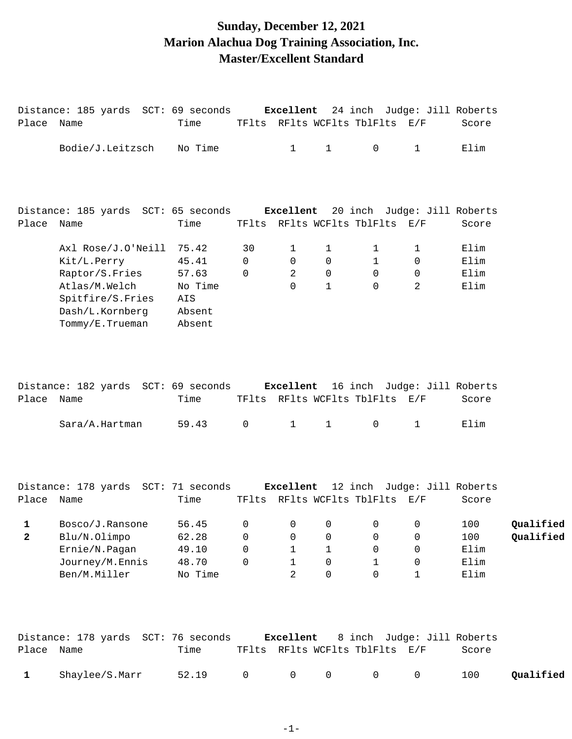# **Sunday, December 12, 2021 Marion Alachua Dog Training Association, Inc. Master/Excellent Standard**

| Place Name | Distance: 185 yards SCT: 69 seconds <b>Excellent</b> 24 inch Judge: Jill Roberts    | Time                                        |                                  |                                                         |                              | TFlts RFlts WCFlts TblFlts E/F                    |                                 | Score                              |                        |
|------------|-------------------------------------------------------------------------------------|---------------------------------------------|----------------------------------|---------------------------------------------------------|------------------------------|---------------------------------------------------|---------------------------------|------------------------------------|------------------------|
|            | Bodie/J.Leitzsch                                                                    | No Time                                     |                                  | $\mathbf{1}$                                            | $\mathbf{1}$                 | $\mathsf{O}$                                      | $\mathbf{1}$                    | Elim                               |                        |
|            | Distance: 185 yards SCT: 65 seconds Excellent 20 inch Judge: Jill Roberts           |                                             |                                  |                                                         |                              |                                                   |                                 |                                    |                        |
| Place Name |                                                                                     | Time                                        |                                  |                                                         |                              | TFlts RFlts WCFlts TblFlts E/F                    |                                 | Score                              |                        |
|            | Axl Rose/J.O'Neill<br>Kit/L.Perry<br>Raptor/S.Fries                                 | 75.42<br>45.41<br>57.63                     | 30<br>$\mathbf 0$<br>$\mathbf 0$ | 1<br>$\Omega$<br>2                                      | 1<br>0<br>$\mathbf 0$        | 1<br>$\mathbf{1}$<br>$\Omega$                     | 1<br>$\mathbf 0$<br>0           | Elim<br>Elim<br>Elim               |                        |
|            | Atlas/M.Welch<br>Spitfire/S.Fries<br>Dash/L.Kornberg<br>Tommy/E.Trueman             | No Time<br>AIS<br>Absent<br>Absent          |                                  | $\Omega$                                                | $\mathbf{1}$                 | $\Omega$                                          | 2                               | Elim                               |                        |
| Place Name | Distance: 182 yards SCT: 69 seconds Excellent 16 inch Judge: Jill Roberts           | Time                                        |                                  |                                                         |                              | TFlts RFlts WCFlts TblFlts E/F                    |                                 | Score                              |                        |
|            | Sara/A.Hartman                                                                      | 59.43                                       | 0                                | $\mathbf{1}$                                            | $\mathbf{1}$                 | $\mathbf 0$                                       | $\mathbf{1}$                    | Elim                               |                        |
|            | Distance: 178 yards SCT: 71 seconds Excellent 12 inch Judge: Jill Roberts           |                                             |                                  |                                                         |                              |                                                   |                                 |                                    |                        |
| Place Name |                                                                                     | Time                                        |                                  |                                                         |                              | TFlts RFlts WCFlts TblFlts E/F                    |                                 | Score                              |                        |
| 1<br>2     | Bosco/J.Ransone<br>Blu/N.Olimpo<br>Ernie/N.Pagan<br>Journey/M.Ennis<br>Ben/M.Miller | 56.45<br>62.28<br>49.10<br>48.70<br>No Time | 0<br>0<br>0<br>0                 | 0<br>0<br>$\mathbf 1$<br>$\mathbf{1}$<br>$\overline{2}$ | 0<br>0<br>1<br>0<br>$\Omega$ | 0<br>0<br>$\mathbf 0$<br>$\mathbf{1}$<br>$\Omega$ | 0<br>0<br>0<br>0<br>$\mathbf 1$ | 100<br>100<br>Elim<br>Elim<br>Elim | Qualified<br>Qualified |
|            | Distance: 178 yards SCT: 76 seconds                                                 |                                             |                                  | Excellent                                               |                              |                                                   | 8 inch Judge: Jill Roberts      |                                    |                        |

| Place Name |                | Time            |  | TFlts RFlts WCFlts TblFlts E/F | Score |           |
|------------|----------------|-----------------|--|--------------------------------|-------|-----------|
|            | Shaylee/S.Marr | 52.19 0 0 0 0 0 |  |                                | 100   | Qualified |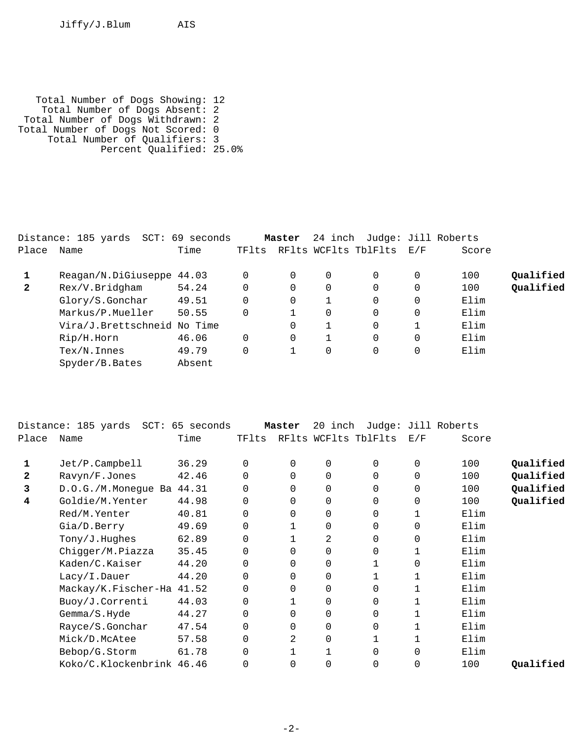Jiffy/J.Blum AIS

 Total Number of Dogs Showing: 12 Total Number of Dogs Absent: 2 Total Number of Dogs Withdrawn: 2 Total Number of Dogs Not Scored: 0 Total Number of Qualifiers: 3 Percent Qualified: 25.0%

|              | Distance: 185 yards SCT: 69 seconds |        |       | Master |          | 24 inch Judge: Jill Roberts |   |       |           |
|--------------|-------------------------------------|--------|-------|--------|----------|-----------------------------|---|-------|-----------|
| Place        | Name                                | Time   | TFlts |        |          | RFlts WCFlts TblFlts E/F    |   | Score |           |
|              | Reagan/N.DiGiuseppe 44.03           |        | 0     | 0      | $\Omega$ |                             | 0 | 100   | Oualified |
| $\mathbf{2}$ | Rex/V.Bridgham                      | 54.24  | 0     | 0      | 0        |                             | 0 | 100   | Qualified |
|              | Glory/S.Gonchar                     | 49.51  | 0     | 0      |          |                             | 0 | Elim  |           |
|              | Markus/P.Mueller                    | 50.55  | 0     |        | 0        |                             | 0 | Elim  |           |
|              | Vira/J.Brettschneid No Time         |        |       | 0      |          |                             |   | Elim  |           |
|              | Rip/H.Horn                          | 46.06  | 0     | 0      |          |                             | 0 | Elim  |           |
|              | $Text/N$ . Innes                    | 49.79  | 0     |        | 0        |                             | 0 | Elim  |           |
|              | Spyder/B.Bates                      | Absent |       |        |          |                             |   |       |           |

|              | Distance: 185 yards SCT: 65 seconds |       |       | Master   | 20 inch     |                      |          | Judge: Jill Roberts |           |
|--------------|-------------------------------------|-------|-------|----------|-------------|----------------------|----------|---------------------|-----------|
| Place        | Name                                | Time  | TFlts |          |             | RFlts WCFlts TblFlts | E/F      | Score               |           |
| 1            | Jet/P.Campbell                      | 36.29 | 0     | 0        | 0           | 0                    | 0        | 100                 | Qualified |
| $\mathbf{2}$ | Ravyn/F.Jones                       | 42.46 |       | $\Omega$ | $\mathbf 0$ |                      | $\Omega$ | 100                 | Qualified |
| 3            | D.O.G./M.Monegue Ba 44.31           |       | 0     | $\Omega$ | $\mathbf 0$ | $\Omega$             | 0        | 100                 | Qualified |
| 4            | Goldie/M.Yenter                     | 44.98 | 0     | $\Omega$ | $\mathbf 0$ | $\Omega$             | $\Omega$ | 100                 | Qualified |
|              | Red/M.Yenter                        | 40.81 | 0     | 0        | $\mathbf 0$ | $\Omega$             |          | Elim                |           |
|              | Gia/D.Berry                         | 49.69 | 0     |          | $\mathbf 0$ | $\Omega$             | $\Omega$ | Elim                |           |
|              | Tony/J.Hughes                       | 62.89 | 0     |          | 2           | $\Omega$             | $\Omega$ | Elim                |           |
|              | Chigger/M.Piazza                    | 35.45 | 0     | $\Omega$ | $\mathbf 0$ | $\Omega$             |          | Elim                |           |
|              | Kaden/C.Kaiser                      | 44.20 | 0     | $\Omega$ | $\mathbf 0$ |                      | $\Omega$ | Elim                |           |
|              | Lacy/I.Dauer                        | 44.20 | 0     | $\Omega$ | $\mathbf 0$ |                      |          | Elim                |           |
|              | Mackay/K.Fischer-Ha 41.52           |       | 0     | $\Omega$ | $\mathbf 0$ | $\Omega$             |          | Elim                |           |
|              | Buoy/J.Correnti                     | 44.03 | 0     |          | $\mathbf 0$ | $\Omega$             |          | Elim                |           |
|              | Gemma/S.Hyde                        | 44.27 | 0     | $\Omega$ | $\mathbf 0$ | 0                    |          | Elim                |           |
|              | Rayce/S.Gonchar                     | 47.54 | 0     | 0        | $\mathbf 0$ |                      |          | Elim                |           |
|              | Mick/D.McAtee                       | 57.58 | 0     | 2        | $\Omega$    |                      |          | Elim                |           |
|              | Bebop/G.Storm                       | 61.78 | 0     |          |             | $\Omega$             | $\Omega$ | Elim                |           |
|              | Koko/C.Klockenbrink 46.46           |       | 0     | $\Omega$ | 0           |                      | 0        | 100                 | Qualified |
|              |                                     |       |       |          |             |                      |          |                     |           |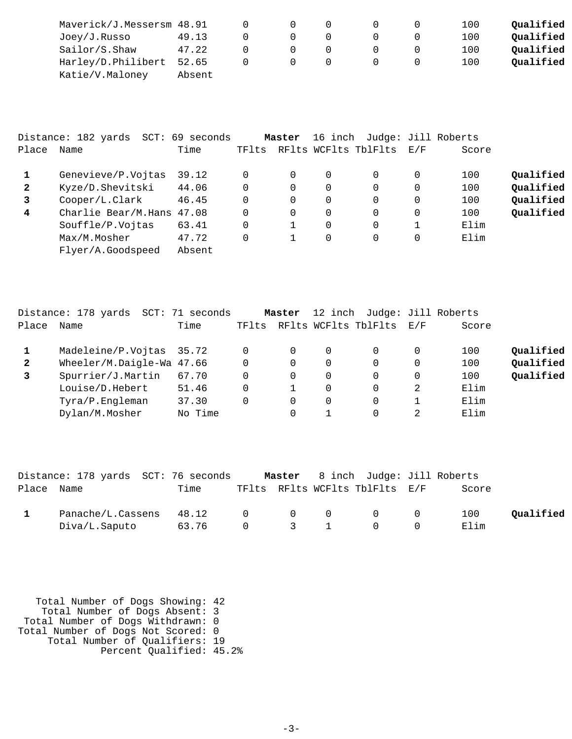| Maverick/J.Messersm 48.91 |        |  |  | 100 | Oualified |
|---------------------------|--------|--|--|-----|-----------|
| Joey/J.Russo              | 49.13  |  |  | 100 | Oualified |
| Sailor/S.Shaw             | 47.22  |  |  | 100 | Oualified |
| Harley/D.Philibert 52.65  |        |  |  | 100 | Qualified |
| Katie/V.Maloney           | Absent |  |  |     |           |

|              | Distance: 182 yards | SCT: 69 seconds |       | Master   | 16 inch  |                      |     | Judge: Jill Roberts |           |
|--------------|---------------------|-----------------|-------|----------|----------|----------------------|-----|---------------------|-----------|
| Place        | Name                | Time            | TFlts |          |          | RFlts WCFlts TblFlts | E/F | Score               |           |
|              | Genevieve/P.Vojtas  | 39.12           | 0     | 0        | 0        | $\Omega$             | 0   | 100                 | Qualified |
| $\mathbf{2}$ | Kyze/D.Shevitski    | 44.06           | 0     | $\Omega$ | 0        | $\Omega$             | 0   | 100                 | Qualified |
| 3            | Cooper/L.Clark      | 46.45           | 0     | $\Omega$ | 0        | $\Omega$             | 0   | 100                 | Qualified |
| 4            | Charlie Bear/M.Hans | 47.08           | 0     | $\Omega$ | $\Omega$ | $\Omega$             | 0   | 100                 | Qualified |
|              | Souffle/P.Vojtas    | 63.41           | 0     |          |          | $\Omega$             |     | Elim                |           |
|              | Max/M.Mosher        | 47.72           |       |          |          | $\Omega$             | 0   | Elim                |           |
|              | Flyer/A.Goodspeed   | Absent          |       |          |          |                      |     |                     |           |

|              | Distance: 178 yards SCT: 71 seconds |         |          | Master | 12 inch  | Judge: Jill Roberts      |          |       |           |
|--------------|-------------------------------------|---------|----------|--------|----------|--------------------------|----------|-------|-----------|
| Place        | Name                                | Time    | TFlts    |        |          | RFlts WCFlts TblFlts E/F |          | Score |           |
|              | Madeleine/P.Vojtas 35.72            |         | 0        |        | $\Omega$ | 0                        | $\Omega$ | 100   | Qualified |
| $\mathbf{2}$ | Wheeler/M.Daigle-Wa 47.66           |         | $\Omega$ | 0      | 0        | $\Omega$                 | $\Omega$ | 100   | Qualified |
| $\mathbf{3}$ | Spurrier/J.Martin                   | 67.70   | $\Omega$ | 0      | $\Omega$ | $\Omega$                 | $\Omega$ | 100   | Qualified |
|              | Louise/D.Hebert                     | 51.46   | $\Omega$ |        | 0        | $\Omega$                 | 2        | Elim  |           |
|              | Tyra/P.Engleman                     | 37.30   | $\Omega$ | 0      | 0        | $\Omega$                 |          | Elim  |           |
|              | Dylan/M.Mosher                      | No Time |          |        |          |                          | 2        | Elim  |           |

|            | Distance: 178 yards SCT: 76 seconds |             |  | <b>Master</b> 8 inch Judge: Jill Roberts   |       |           |
|------------|-------------------------------------|-------------|--|--------------------------------------------|-------|-----------|
| Place Name |                                     | Time        |  | TFlts RFlts WCFlts TblFlts E/F             | Score |           |
|            | Panache/L.Cassens                   | 48.12 0 0 0 |  | $\begin{array}{ccc} & & & 0 & \end{array}$ | 100   | Oualified |
|            | Diva/L.Saputo                       | 63.76 0 3 1 |  | $\cap$                                     | Elim  |           |

| Total Number of Dogs Showing: 42   |  |
|------------------------------------|--|
| Total Number of Dogs Absent: 3     |  |
| Total Number of Dogs Withdrawn: 0  |  |
| Total Number of Dogs Not Scored: 0 |  |
| Total Number of Qualifiers: 19     |  |
| Percent Qualified: 45.2%           |  |
|                                    |  |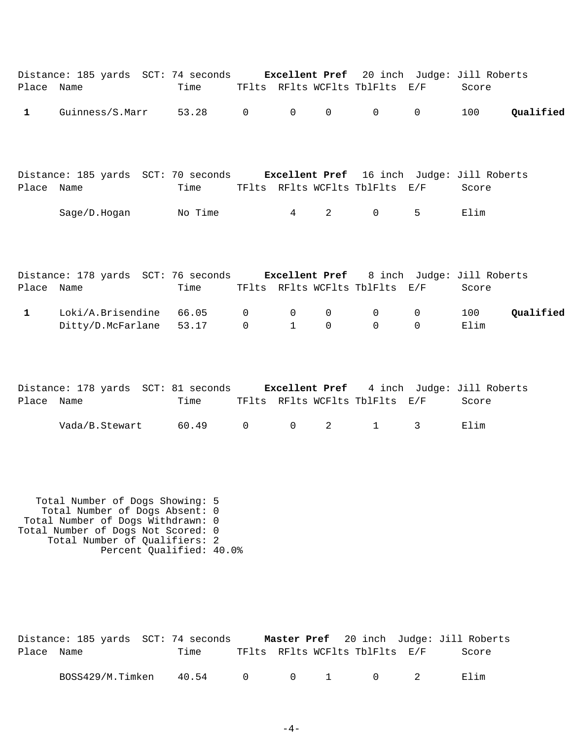| Place Name   | Distance: 185 yards SCT: 74 seconds Excellent Pref 20 inch Judge: Jill Roberts | Time           |                         |                                |                         | TFlts RFlts WCFlts TblFlts E/F |                            | Score       |           |
|--------------|--------------------------------------------------------------------------------|----------------|-------------------------|--------------------------------|-------------------------|--------------------------------|----------------------------|-------------|-----------|
| $\mathbf{1}$ | Guinness/S.Marr                                                                | 53.28          | $\mathsf{O}$            | $\overline{0}$                 | $\mathsf{O}$            | 0                              | $\mathsf{O}$               | 100         | Qualified |
|              | Distance: 185 yards SCT: 70 seconds Excellent Pref 16 inch Judge: Jill Roberts |                |                         |                                |                         |                                |                            |             |           |
| Place Name   |                                                                                | Time           |                         |                                |                         | TFlts RFlts WCFlts TblFlts E/F |                            | Score       |           |
|              | Sage/D.Hogan                                                                   | No Time        |                         | $4\degree$                     | 2                       | $0 \qquad \qquad$              | 5                          | Elim        |           |
| Place Name   | Distance: 178 yards SCT: 76 seconds Excellent Pref 8 inch Judge: Jill Roberts  | Time           |                         |                                |                         | TFlts RFlts WCFlts TblFlts E/F |                            | Score       |           |
|              |                                                                                |                |                         |                                |                         |                                |                            |             |           |
| $\mathbf{1}$ | Loki/A.Brisendine<br>Ditty/D.McFarlane                                         | 66.05<br>53.17 | $\mathbf 0$<br>$\Omega$ | $\overline{0}$<br>$\mathbf{1}$ | $\mathbf 0$<br>$\Omega$ | $\overline{0}$<br>$\Omega$     | $\overline{0}$<br>$\Omega$ | 100<br>Elim | Qualified |
| Place Name   | Distance: 178 yards SCT: 81 seconds Excellent Pref 4 inch Judge: Jill Roberts  | Time           |                         |                                |                         | TFlts RFlts WCFlts TblFlts E/F |                            | Score       |           |

| $Vada/B. Stewart$ 60.49 0 0 2 1 3 Elim |  |  |  |  |
|----------------------------------------|--|--|--|--|

 Total Number of Dogs Showing: 5 Total Number of Dogs Absent: 0 Total Number of Dogs Withdrawn: 0 Total Number of Dogs Not Scored: 0 Total Number of Qualifiers: 2 Percent Qualified: 40.0%

|            |  | Distance: 185 yards SCT: 74 seconds |                                |  |  | Master Pref 20 inch Judge: Jill Roberts |
|------------|--|-------------------------------------|--------------------------------|--|--|-----------------------------------------|
| Place Name |  | Time                                | TFlts RFlts WCFlts TblFlts E/F |  |  | Score                                   |
|            |  | BOSS429/M.Timken 40.54 0 0 1 0 2    |                                |  |  | F. lim                                  |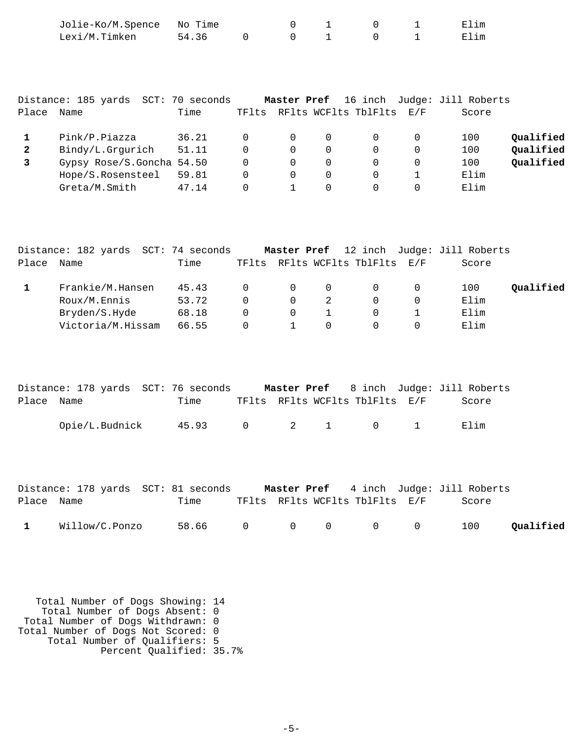|                                   | Jolie-Ko/M.Spence<br>Lexi/M.Timken                                                                   | No Time<br>54.36                 | 0                                                 | 0<br>$\Omega$                                | 1<br>$\mathbf{1}$                     | 0<br>$\Omega$                              | 1<br>$\mathbf 1$                        | Elim<br>Elim                                    |                                     |
|-----------------------------------|------------------------------------------------------------------------------------------------------|----------------------------------|---------------------------------------------------|----------------------------------------------|---------------------------------------|--------------------------------------------|-----------------------------------------|-------------------------------------------------|-------------------------------------|
| Place                             | Distance: 185 yards SCT: 70 seconds<br>Name                                                          | Time                             |                                                   | Master Pref                                  |                                       | 16 inch<br>TFlts RFlts WCFlts TblFlts E/F  |                                         | Judge: Jill Roberts<br>Score                    |                                     |
| $\mathbf{1}$<br>$\mathbf{2}$<br>3 | Pink/P.Piazza<br>Bindy/L.Grgurich<br>Gypsy Rose/S.Goncha 54.50<br>Hope/S.Rosensteel<br>Greta/M.Smith | 36.21<br>51.11<br>59.81<br>47.14 | 0<br>$\Omega$<br>$\Omega$<br>$\Omega$<br>$\Omega$ | 0<br>0<br>0<br>$\mathbf 0$<br>$\mathbf{1}$   | 0<br>0<br>0<br>0<br>$\Omega$          | 0<br>$\Omega$<br>0<br>$\Omega$<br>$\Omega$ | 0<br>0<br>0<br>$\mathbf{1}$<br>$\Omega$ | 100<br>100<br>100<br>Elim<br>Elim               | Qualified<br>Qualified<br>Qualified |
| Place Name                        | Distance: 182 yards SCT: 74 seconds                                                                  | Time                             |                                                   | Master Pref                                  |                                       | 12 inch<br>TFlts RFlts WCFlts TblFlts      | E/F                                     | Judge: Jill Roberts<br>Score                    |                                     |
| $\mathbf{1}$                      | Frankie/M.Hansen<br>Roux/M.Ennis<br>Bryden/S.Hyde<br>Victoria/M.Hissam                               | 45.43<br>53.72<br>68.18<br>66.55 | 0<br>$\Omega$<br>$\Omega$<br>$\Omega$             | 0<br>$\mathbf 0$<br>$\Omega$<br>$\mathbf{1}$ | 0<br>2<br>$\mathbf{1}$<br>$\mathbf 0$ | 0<br>$\Omega$<br>0<br>0                    | 0<br>0<br>$\mathbf{1}$<br>$\Omega$      | 100<br>Elim<br>Elim<br>Elim                     | Qualified                           |
| Place                             | Distance: 178 yards SCT: 76 seconds<br>Name<br>Opie/L.Budnick                                        | Time<br>45.93                    | TFlts<br>$\mathbf 0$                              | Master Pref<br>2                             | $\mathbf{1}$                          | 8 inch<br>RFlts WCFlts TblFlts<br>0        | E/F<br>$\mathbf 1$                      | Judge: Jill Roberts<br>Score<br>Elim            |                                     |
| Place Name                        | Distance: 178 yards SCT: 81 seconds                                                                  | Time                             |                                                   |                                              |                                       | TFlts RFlts WCFlts TblFlts E/F             |                                         | Master Pref 4 inch Judge: Jill Roberts<br>Score |                                     |

1 Willow/C.Ponzo 58.66 0 0 0 0 0 0 100 **Qualified** 

 Total Number of Dogs Showing: 14 Total Number of Dogs Absent: 0 Total Number of Dogs Withdrawn: 0 Total Number of Dogs Not Scored: 0 Total Number of Qualifiers: 5 Percent Qualified: 35.7%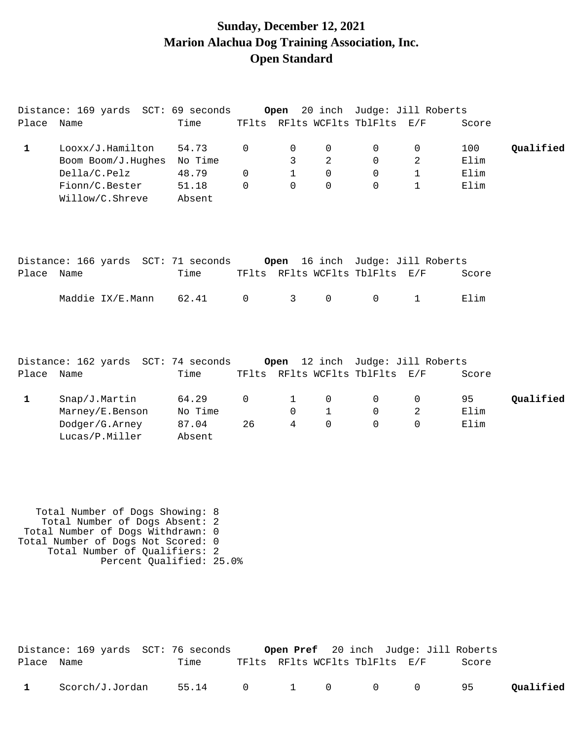### **Sunday, December 12, 2021 Marion Alachua Dog Training Association, Inc. Open Standard**

|              | Distance: 169 yards SCT: 69 seconds                                          |         |             | Open         |                |                                | 20 inch Judge: Jill Roberts |       |           |
|--------------|------------------------------------------------------------------------------|---------|-------------|--------------|----------------|--------------------------------|-----------------------------|-------|-----------|
| Place Name   |                                                                              | Time    |             |              |                | TFlts RFlts WCFlts TblFlts E/F |                             | Score |           |
| $\mathbf{1}$ | Looxx/J.Hamilton                                                             | 54.73   | $\Omega$    | 0            | 0              | 0                              | 0                           | 100   | Qualified |
|              | Boom Boom/J.Hughes                                                           | No Time |             | 3            | $\overline{a}$ | 0                              | 2                           | Elim  |           |
|              | Della/C.Pelz                                                                 | 48.79   | $\Omega$    | $\mathbf{1}$ | $\Omega$       | 0                              | $\mathbf{1}$                | Elim  |           |
|              | Fionn/C.Bester                                                               | 51.18   | $\Omega$    | $\Omega$     | $\Omega$       | $\Omega$                       | 1                           | Elim  |           |
|              | Willow/C.Shreve                                                              | Absent  |             |              |                |                                |                             |       |           |
|              |                                                                              |         |             |              |                |                                |                             |       |           |
|              | Distance: 166 yards SCT: 71 seconds 0 pen 16 inch Judge: Jill Roberts        |         |             |              |                |                                |                             |       |           |
| Place        | Name                                                                         | Time    |             |              |                | TFlts RFlts WCFlts TblFlts E/F |                             | Score |           |
|              | Maddie IX/E.Mann                                                             | 62.41   | $\mathbf 0$ | 3            | $\mathsf{O}$   | $\mathsf{O}$                   | $\mathbf{1}$                | Elim  |           |
| Place        | Distance: 162 yards SCT: 74 seconds 0pen 12 inch Judge: Jill Roberts<br>Name | Time    |             |              |                | TFlts RFlts WCFlts TblFlts E/F |                             | Score |           |
|              |                                                                              |         |             |              |                |                                |                             |       |           |
| $\mathbf{1}$ | Snap/J.Martin                                                                | 64.29   | 0           | 1            | 0              | 0                              | 0                           | 95    | Qualified |
|              | Marney/E.Benson                                                              | No Time |             | 0            | $\mathbf{1}$   | 0                              | 2                           | Elim  |           |
|              | Dodger/G.Arney                                                               | 87.04   | 26          | 4            | 0              | 0                              | 0                           | Elim  |           |
|              | Lucas/P.Miller                                                               | Absent  |             |              |                |                                |                             |       |           |

 Total Number of Dogs Showing: 8 Total Number of Dogs Absent: 2 Total Number of Dogs Withdrawn: 0 Total Number of Dogs Not Scored: 0 Total Number of Qualifiers: 2 Percent Qualified: 25.0%

|              | Distance: 169 yards  SCT: 76 seconds |                    |  |                                | <b>Open Pref</b> 20 inch Judge: Jill Roberts |           |
|--------------|--------------------------------------|--------------------|--|--------------------------------|----------------------------------------------|-----------|
| Place Name   |                                      | Time               |  | TFlts RFlts WCFlts TblFlts E/F | Score                                        |           |
| $\mathbf{1}$ | Scorch/J.Jordan                      | 55.14 0 1 0 0 0 95 |  |                                |                                              | Qualified |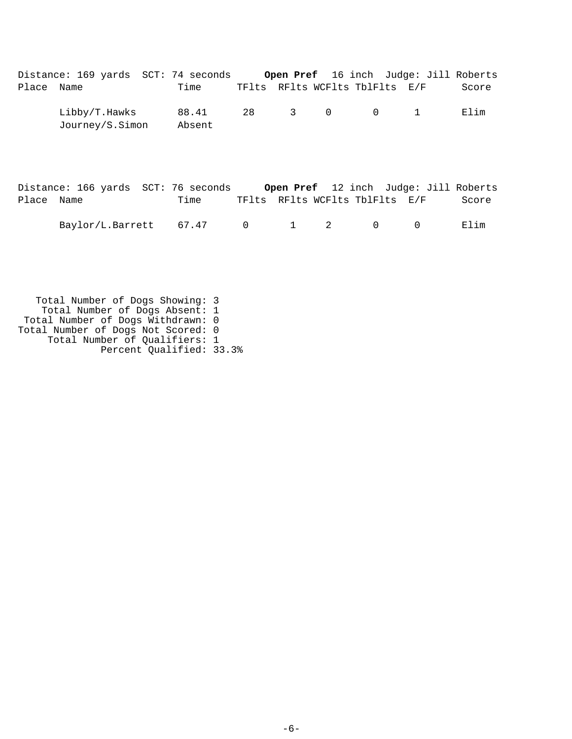|            | Distance: 169 yards SCT: 74 seconds |                 |  |                                | Open Pref 16 inch Judge: Jill Roberts |       |
|------------|-------------------------------------|-----------------|--|--------------------------------|---------------------------------------|-------|
| Place Name |                                     | Time            |  | TFlts RFlts WCFlts TblFlts E/F |                                       | Score |
|            | Libby/T.Hawks<br>Journey/S.Simon    | 88.41<br>Absent |  | 28 3 0 0 1                     |                                       | Elim  |

|            | Distance: 166 yards SCT: 76 seconds |      |  |  | Open Pref 12 inch Judge: Jill Roberts |       |
|------------|-------------------------------------|------|--|--|---------------------------------------|-------|
| Place Name |                                     | Time |  |  | TFlts RFlts WCFlts TblFlts E/F        | Score |
|            | $Baylor/L.Barrett$ 67.47 0 1 2 0    |      |  |  | $\bigcap$                             | Elim  |

 Total Number of Dogs Showing: 3 Total Number of Dogs Absent: 1 Total Number of Dogs Withdrawn: 0 Total Number of Dogs Not Scored: 0 Total Number of Qualifiers: 1 Percent Qualified: 33.3%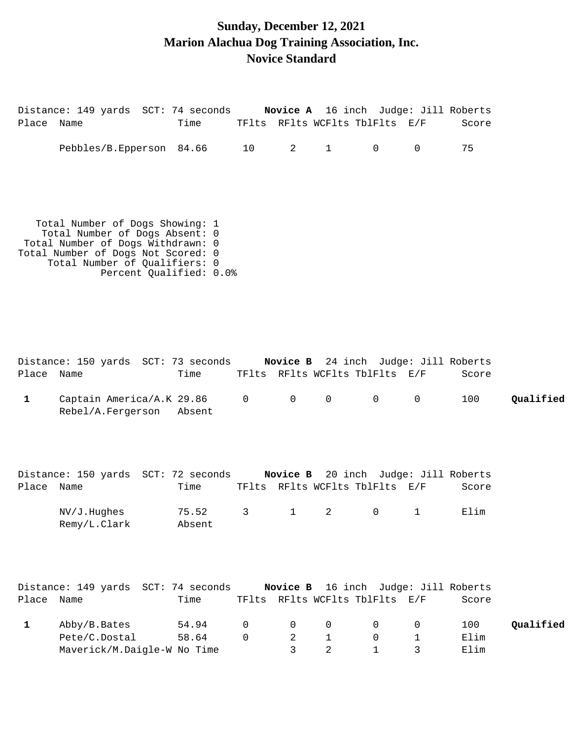# **Sunday, December 12, 2021 Marion Alachua Dog Training Association, Inc. Novice Standard**

| Place Name   | Distance: 149 yards SCT: 74 seconds Novice A 16 inch Judge: Jill Roberts                                                                                                                                 | Time   |             | TFlts RFlts WCFlts TblFlts E/F |                   |                |                             | Score |           |
|--------------|----------------------------------------------------------------------------------------------------------------------------------------------------------------------------------------------------------|--------|-------------|--------------------------------|-------------------|----------------|-----------------------------|-------|-----------|
|              | Pebbles/B.Epperson 84.66                                                                                                                                                                                 |        | 10          | 2                              | $1 \qquad \qquad$ | $\overline{0}$ | $\overline{0}$              | 75    |           |
|              | Total Number of Dogs Showing: 1<br>Total Number of Dogs Absent: 0<br>Total Number of Dogs Withdrawn: 0<br>Total Number of Dogs Not Scored: 0<br>Total Number of Qualifiers: 0<br>Percent Qualified: 0.0% |        |             |                                |                   |                |                             |       |           |
|              | Distance: 150 yards SCT: 73 seconds Novice B 24 inch Judge: Jill Roberts                                                                                                                                 |        |             |                                |                   |                |                             |       |           |
| Place Name   |                                                                                                                                                                                                          | Time   |             | TFlts RFlts WCFlts TblFlts E/F |                   |                |                             | Score |           |
| $\mathbf{1}$ | Captain America/A.K 29.86<br>Rebel/A.Fergerson                                                                                                                                                           | Absent | $\mathbf 0$ | $\overline{0}$                 | $\mathsf{O}$      | $\overline{0}$ | $\mathsf{O}$                | 100   | Qualified |
|              | Distance: 150 yards SCT: 72 seconds                                                                                                                                                                      |        |             | Novice B                       |                   |                | 20 inch Judge: Jill Roberts |       |           |

|            | DISLANCE, 190 VALUS  SCI, 72 SECONUS |                 |  |       | <b>NOATCE B</b> 70 THEM ANOGE. ATTI KODELL'S |       |
|------------|--------------------------------------|-----------------|--|-------|----------------------------------------------|-------|
| Place Name |                                      | Time            |  |       | TFlts RFlts WCFlts TblFlts E/F               | Score |
|            | NV/J.Hughes<br>Remy/L.Clark          | 75.52<br>Absent |  | 3 1 2 | $\begin{array}{ccc}\n0 & 1\n\end{array}$     | Elim  |

|            | Distance: 149 yards SCT: 74 seconds |       |          |                | Novice B 16 inch Judge: Jill Roberts            |       |           |
|------------|-------------------------------------|-------|----------|----------------|-------------------------------------------------|-------|-----------|
| Place Name |                                     | Time  |          |                | TFlts RFlts WCFlts TblFlts E/F                  | Score |           |
|            | Abby/B.Bates                        | 54.94 |          |                | $\begin{matrix} 0 & 0 & 0 & 0 & 0 \end{matrix}$ | 100   | Qualified |
|            | Pete/C.Dostal                       | 58.64 | $\Omega$ | $\overline{2}$ | $\bigcap$                                       | Elim  |           |
|            | Maverick/M.Daigle-W No Time         |       |          |                | $\overline{1}$                                  | Elim  |           |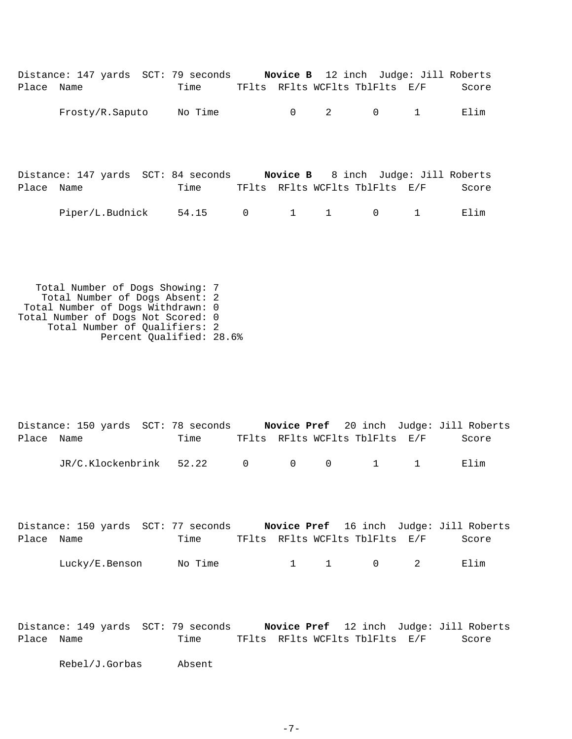| Time            |                                  |              |                                           |              | Score                                                                                                                                                                                                                   |
|-----------------|----------------------------------|--------------|-------------------------------------------|--------------|-------------------------------------------------------------------------------------------------------------------------------------------------------------------------------------------------------------------------|
|                 |                                  | $\mathsf{O}$ | $\mathbf 0$                               | $\mathbf{1}$ | Elim                                                                                                                                                                                                                    |
|                 |                                  |              |                                           |              |                                                                                                                                                                                                                         |
|                 |                                  |              |                                           |              |                                                                                                                                                                                                                         |
|                 |                                  |              |                                           |              |                                                                                                                                                                                                                         |
| Time            |                                  |              |                                           |              | Score                                                                                                                                                                                                                   |
|                 | $\overline{0}$                   |              | $\mathbf 0$                               | 1            | Elim                                                                                                                                                                                                                    |
| Frosty/R.Saputo | No Time<br>Piper/L.Budnick 54.15 |              | $\overline{\phantom{a}}$ 2<br>$1 \quad 1$ |              | Distance: 147 yards SCT: 79 seconds Novice B 12 inch Judge: Jill Roberts<br>TFlts RFlts WCFlts TblFlts E/F<br>Distance: 147 yards SCT: 84 seconds Novice B 8 inch Judge: Jill Roberts<br>TFlts RFlts WCFlts TblFlts E/F |

 Total Number of Dogs Showing: 7 Total Number of Dogs Absent: 2 Total Number of Dogs Withdrawn: 0 Total Number of Dogs Not Scored: 0 Total Number of Qualifiers: 2 Percent Qualified: 28.6%

|            | Distance: 150 yards SCT: 78 seconds |      |  |                                | Novice Pref 20 inch Judge: Jill Roberts |
|------------|-------------------------------------|------|--|--------------------------------|-----------------------------------------|
| Place Name |                                     | Time |  | TFlts RFlts WCFlts TblFlts E/F | Score                                   |
|            | JR/C.Klockenbrink 52.22 0 0 0 1 1   |      |  |                                | Elim                                    |

|            | Distance: 150 yards SCT: 77 seconds |         |  |                                | Novice Pref 16 inch Judge: Jill Roberts |
|------------|-------------------------------------|---------|--|--------------------------------|-----------------------------------------|
| Place Name |                                     | Time    |  | TFlts RFlts WCFlts TblFlts E/F | Score                                   |
|            | Lucky/E.Benson                      | No Time |  | 1 1 0 2                        | Elim                                    |

Distance: 149 yards SCT: 79 seconds **Novice Pref** 12 inch Judge: Jill Roberts Place Name Time TFlts RFlts WCFlts TblFlts E/F Score

Rebel/J.Gorbas Absent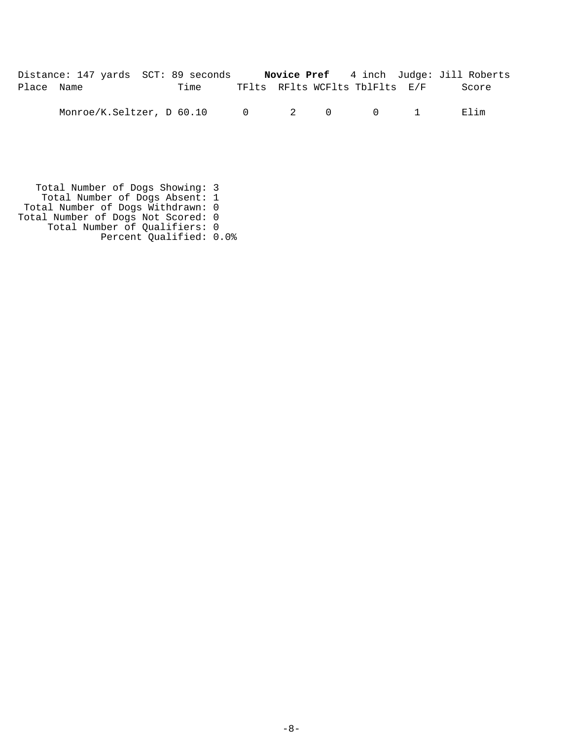| Distance: 147 yards SCT: 89 seconds |      |                                |  | <b>Novice Pref</b> 4 inch Judge: Jill Roberts |
|-------------------------------------|------|--------------------------------|--|-----------------------------------------------|
| Place Name                          | Time | TFlts RFlts WCFlts TblFlts E/F |  | Score                                         |

Monroe/K.Seltzer, D 60.10 0 2 0 0 1 Elim

 Total Number of Dogs Showing: 3 Total Number of Dogs Absent: 1 Total Number of Dogs Withdrawn: 0 Total Number of Dogs Not Scored: 0 Total Number of Qualifiers: 0 Percent Qualified: 0.0%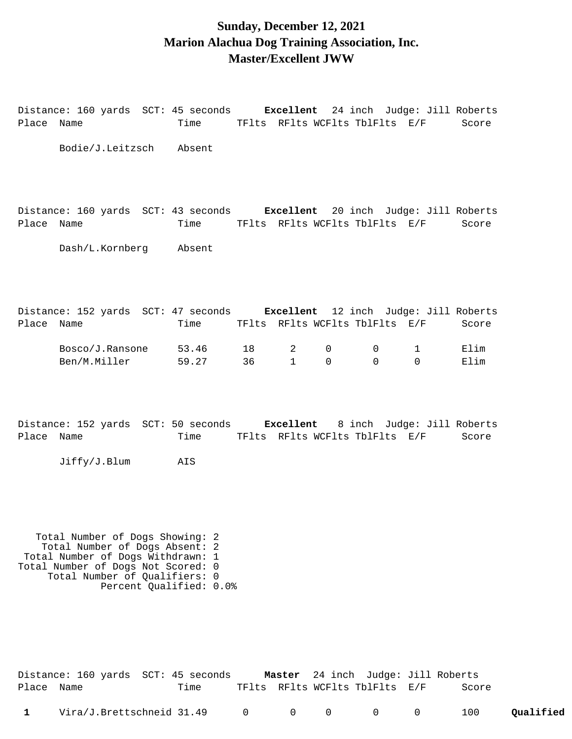#### **Sunday, December 12, 2021 Marion Alachua Dog Training Association, Inc. Master/Excellent JWW**

| Place      | Name                                    |                                                                                                        | Time                   |          |                   |               |               | TFlts RFlts WCFlts TblFlts E/F                  | Distance: 160 yards SCT: 45 seconds <b>Excellent</b> 24 inch Judge: Jill Roberts<br>Score          |
|------------|-----------------------------------------|--------------------------------------------------------------------------------------------------------|------------------------|----------|-------------------|---------------|---------------|-------------------------------------------------|----------------------------------------------------------------------------------------------------|
|            |                                         | Bodie/J.Leitzsch Absent                                                                                |                        |          |                   |               |               |                                                 |                                                                                                    |
| Place      | Name<br>Dash/L.Kornberg                 |                                                                                                        | Time<br>Absent         |          |                   |               |               | TFlts RFlts WCFlts TblFlts E/F                  | Distance: 160 yards SCT: 43 seconds Excellent 20 inch Judge: Jill Roberts<br>Score                 |
| Place      | Name<br>Bosco/J.Ransone<br>Ben/M.Miller |                                                                                                        | Time<br>53.46<br>59.27 | 18<br>36 | 2<br>$\mathbf{1}$ | 0<br>$\Omega$ | 0<br>$\Omega$ | TFlts RFlts WCFlts TblFlts E/F<br>1<br>$\Omega$ | Distance: 152 yards SCT: 47 seconds Excellent 12 inch Judge: Jill Roberts<br>Score<br>Elim<br>Elim |
| Place Name | Jiffy/J.Blum                            |                                                                                                        | Time<br>AIS            |          |                   |               |               | TFlts RFlts WCFlts TblFlts E/F                  | Distance: 152 yards SCT: 50 seconds Excellent 8 inch Judge: Jill Roberts<br>Score                  |
|            |                                         | Total Number of Dogs Showing: 2<br>Total Number of Dogs Absent: 2<br>Total Number of Dogs Withdrawn: 1 |                        |          |                   |               |               |                                                 |                                                                                                    |

Total Number of Dogs Not Scored: 0 Total Number of Qualifiers: 0 Percent Qualified: 0.0%

|              | Distance: 160 yards  SCT: 45 seconds |      |  | <b>Master</b> 24 inch Judge: Jill Roberts |       |           |
|--------------|--------------------------------------|------|--|-------------------------------------------|-------|-----------|
| Place Name   |                                      | Time |  | TFlts RFlts WCFlts TblFlts E/F            | Score |           |
| $\mathbf{1}$ | Vira/J.Brettschneid 31.49 0 0 0 0 0  |      |  |                                           | 100   | Qualified |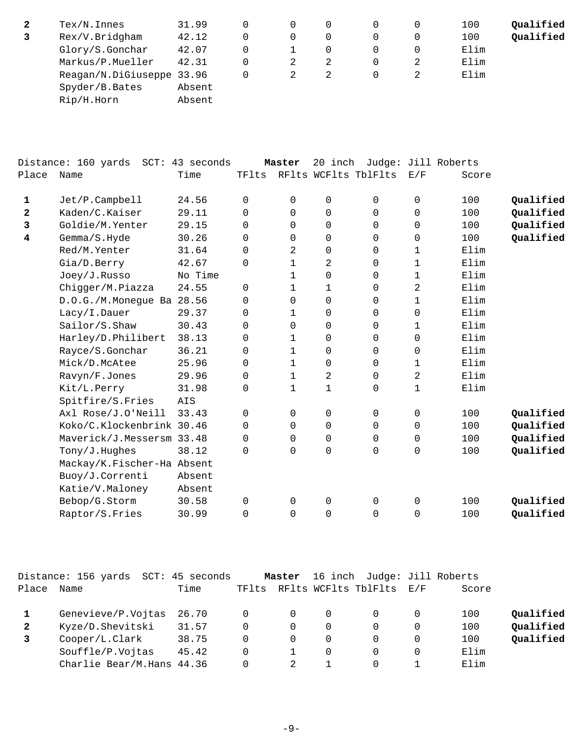| 2 | $Text/N$ . Innes          | 31.99  |   | 0        |   | 100  | Qualified |
|---|---------------------------|--------|---|----------|---|------|-----------|
|   | Rex/V.Bridgham            | 42.12  |   | $\Omega$ |   | 100  | Qualified |
|   | Glory/S.Gonchar           | 42.07  |   |          |   | Elim |           |
|   | Markus/P.Mueller          | 42.31  | 2 |          | 0 | Elim |           |
|   | Reagan/N.DiGiuseppe 33.96 |        |   |          |   | Elim |           |
|   | Spyder/B.Bates            | Absent |   |          |   |      |           |
|   | Rip/H.Horn                | Absent |   |          |   |      |           |

|              | Distance: 160 yards SCT: 43 seconds |         |          | Master       | 20 inch              |          |             | Judge: Jill Roberts |           |
|--------------|-------------------------------------|---------|----------|--------------|----------------------|----------|-------------|---------------------|-----------|
| Place        | Name                                | Time    | TFlts    |              | RFlts WCFlts TblFlts |          | E/F         | Score               |           |
| $\mathbf 1$  | Jet/P.Campbell                      | 24.56   | 0        | 0            | 0                    | 0        | 0           | 100                 | Qualified |
| $\mathbf{2}$ | Kaden/C.Kaiser                      | 29.11   | 0        | $\Omega$     | 0                    | 0        | $\mathbf 0$ | 100                 | Qualified |
| 3            | Goldie/M.Yenter                     | 29.15   | 0        | 0            | 0                    | 0        | $\mathbf 0$ | 100                 | Qualified |
| 4            | Gemma/S.Hyde                        | 30.26   | 0        | 0            | 0                    | 0        | 0           | 100                 | Qualified |
|              | Red/M.Yenter                        | 31.64   | 0        | 2            | $\mathsf{O}\xspace$  | 0        | $\mathbf 1$ | Elim                |           |
|              | Gia/D.Berry                         | 42.67   | 0        | 1            | 2                    | $\Omega$ | $\mathbf 1$ | Elim                |           |
|              | Joey/J.Russo                        | No Time |          | 1            | 0                    | 0        | 1           | Elim                |           |
|              | Chigger/M.Piazza                    | 24.55   | 0        | 1            | 1                    | 0        | 2           | Elim                |           |
|              | D.O.G./M.Monegue Ba 28.56           |         | 0        | 0            | 0                    | $\Omega$ | $\mathbf 1$ | Elim                |           |
|              | Lacy/I.Dauer                        | 29.37   | 0        | 1            | 0                    | 0        | 0           | Elim                |           |
|              | Sailor/S.Shaw                       | 30.43   | $\Omega$ | 0            | 0                    | $\Omega$ | 1           | Elim                |           |
|              | Harley/D.Philibert                  | 38.13   | 0        | 1            | 0                    | 0        | $\mathbf 0$ | Elim                |           |
|              | Rayce/S.Gonchar                     | 36.21   | 0        | 1            | 0                    | 0        | 0           | Elim                |           |
|              | Mick/D.McAtee                       | 25.96   | 0        | 1            | 0                    | 0        | $\mathbf 1$ | Elim                |           |
|              | Ravyn/F.Jones                       | 29.96   | 0        | $\mathbf{1}$ | $\overline{a}$       | 0        | 2           | Elim                |           |
|              | Kit/L.Perry                         | 31.98   | 0        | 1            | $\mathbf 1$          | 0        | $\mathbf 1$ | Elim                |           |
|              | Spitfire/S.Fries                    | AIS     |          |              |                      |          |             |                     |           |
|              | Axl Rose/J.O'Neill                  | 33.43   | 0        | 0            | 0                    | 0        | 0           | 100                 | Qualified |
|              | Koko/C.Klockenbrink 30.46           |         | 0        | $\Omega$     | $\mathbf 0$          | $\Omega$ | $\mathbf 0$ | 100                 | Qualified |
|              | Maverick/J.Messersm 33.48           |         | 0        | $\mathbf 0$  | $\mathsf{O}\xspace$  | 0        | $\mathbf 0$ | 100                 | Qualified |
|              | Tony/J.Hughes                       | 38.12   | $\Omega$ | 0            | 0                    | 0        | 0           | 100                 | Qualified |
|              | Mackay/K.Fischer-Ha Absent          |         |          |              |                      |          |             |                     |           |
|              | Buoy/J.Correnti                     | Absent  |          |              |                      |          |             |                     |           |
|              | Katie/V.Maloney                     | Absent  |          |              |                      |          |             |                     |           |
|              | Bebop/G.Storm                       | 30.58   | 0        | $\mathbf 0$  | $\mathsf 0$          | 0        | $\mathsf 0$ | 100                 | Qualified |
|              | Raptor/S.Fries                      | 30.99   | 0        | 0            | 0                    | 0        | $\mathbf 0$ | 100                 | Qualified |

|       | Distance: 156 yards SCT:  | 45 seconds |       | Master |   | 16 inch Judge: Jill Roberts |                   |       |           |
|-------|---------------------------|------------|-------|--------|---|-----------------------------|-------------------|-------|-----------|
| Place | Name                      | Time       | TFlts |        |   | RFlts WCFlts TblFlts        | $\rm E$ / $\rm F$ | Score |           |
|       | Genevieve/P.Vojtas        | 26.70      | 0     |        | 0 |                             |                   | 100   | Qualified |
|       | Kyze/D.Shevitski          | 31.57      | 0     |        | 0 |                             |                   | 100   | Qualified |
|       | Cooper/L.Clark            | 38.75      | 0     |        | 0 |                             |                   | 100   | Qualified |
|       | Souffle/P.Vojtas          | 45.42      | 0     |        | 0 |                             |                   | Elim  |           |
|       | Charlie Bear/M.Hans 44.36 |            |       |        |   |                             |                   | Elim  |           |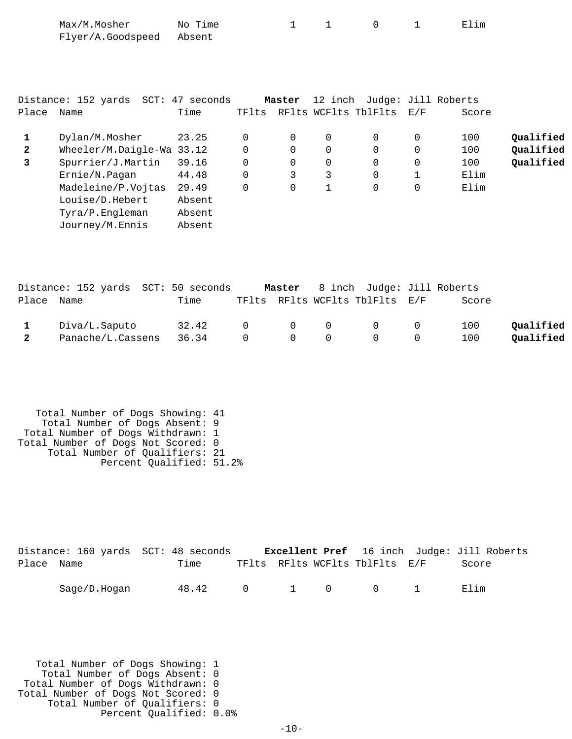| Place                  | Distance: 152 yards SCT: 47 seconds<br>Name                                                                                                                      | Time                                                           | TFlts                                                                | Master                                           | 12 inch<br>RFlts WCFlts TblFlts                     |                                                               | E/F                                                            | Judge: Jill Roberts<br>Score      |                                     |
|------------------------|------------------------------------------------------------------------------------------------------------------------------------------------------------------|----------------------------------------------------------------|----------------------------------------------------------------------|--------------------------------------------------|-----------------------------------------------------|---------------------------------------------------------------|----------------------------------------------------------------|-----------------------------------|-------------------------------------|
| 1<br>$\mathbf{2}$<br>3 | Dylan/M.Mosher<br>Wheeler/M.Daigle-Wa 33.12<br>Spurrier/J.Martin<br>Ernie/N.Pagan<br>Madeleine/P.Vojtas<br>Louise/D.Hebert<br>Tyra/P.Engleman<br>Journey/M.Ennis | 23.25<br>39.16<br>44.48<br>29.49<br>Absent<br>Absent<br>Absent | $\mathbf 0$<br>$\mathbf 0$<br>$\mathbf 0$<br>$\mathbf 0$<br>$\Omega$ | 0<br>$\Omega$<br>$\mathbf 0$<br>3<br>$\mathbf 0$ | 0<br>$\mathbf 0$<br>$\mathbf 0$<br>3<br>$\mathbf 1$ | $\mathbf 0$<br>$\mathbf 0$<br>0<br>$\mathbf 0$<br>$\mathbf 0$ | 0<br>$\mathbf 0$<br>$\mathsf 0$<br>$\mathbf{1}$<br>$\mathbf 0$ | 100<br>100<br>100<br>Elim<br>Elim | Qualified<br>Qualified<br>Qualified |

|              | Distance: 152 yards SCT: 50 seconds |       |                |                                 | Master 8 inch Judge: Jill Roberts                  |       |           |
|--------------|-------------------------------------|-------|----------------|---------------------------------|----------------------------------------------------|-------|-----------|
| Place Name   |                                     | Time  |                |                                 | TFlts RFlts WCFlts TblFlts E/F                     | Score |           |
|              | Diva/L.Saputo                       | 32.42 |                |                                 | $\begin{matrix} 0 & 0 & 0 & 0 & 0 \end{matrix}$    | 100   | Oualified |
| $\mathbf{2}$ | Panache/L.Cassens                   | 36.34 | $\overline{0}$ | $\begin{matrix}0&0\end{matrix}$ | $\begin{array}{ccc} & & & 0 & \quad & \end{array}$ | 100   | Qualified |

 Total Number of Dogs Showing: 41 Total Number of Dogs Absent: 9 Total Number of Dogs Withdrawn: 1 Total Number of Dogs Not Scored: 0 Total Number of Qualifiers: 21 Percent Qualified: 51.2%

|            |              | Distance: 160 yards SCT: 48 seconds |  |                                | <b>Excellent Pref</b> 16 inch Judge: Jill Roberts |
|------------|--------------|-------------------------------------|--|--------------------------------|---------------------------------------------------|
| Place Name |              | Time                                |  | TFlts RFlts WCFlts TblFlts E/F | Score                                             |
|            | Saqe/D.Hoqan | 48.42 0 1 0 0 1                     |  |                                | Elim                                              |

 Total Number of Dogs Showing: 1 Total Number of Dogs Absent: 0 Total Number of Dogs Withdrawn: 0 Total Number of Dogs Not Scored: 0 Total Number of Qualifiers: 0 Percent Qualified: 0.0%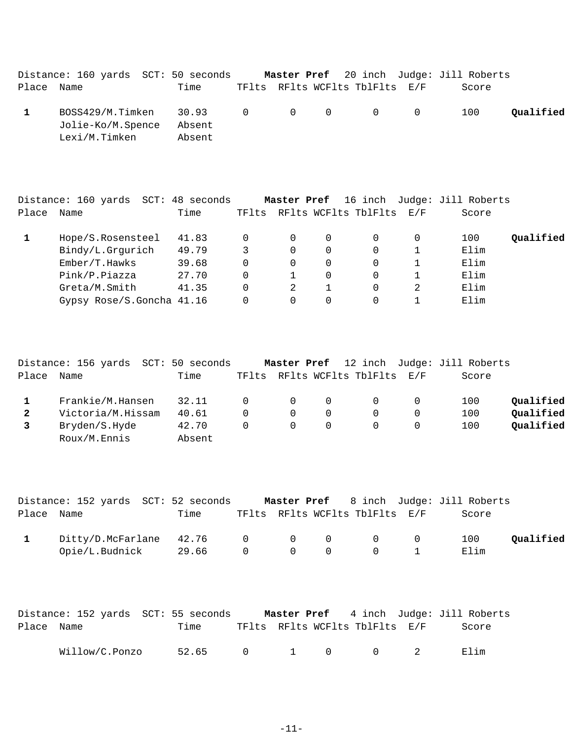|            | Distance: 160 yards SCT: 50 seconds    |        |  |                                | Master Pref 20 inch Judge: Jill Roberts |           |
|------------|----------------------------------------|--------|--|--------------------------------|-----------------------------------------|-----------|
| Place Name |                                        | Time   |  | TFlts RFlts WCFlts TblFlts E/F | Score                                   |           |
|            | BOSS429/M.Timken 30.93 0 0 0 0 0 0 100 |        |  |                                |                                         | Qualified |
|            | Jolie-Ko/M.Spence                      | Absent |  |                                |                                         |           |
|            | Lexi/M.Timken                          | Absent |  |                                |                                         |           |

|       | Distance: 160 yards<br>SCT: | 48 seconds |       | Master Pref |   | 16 inch              |     | Judge: Jill Roberts |           |
|-------|-----------------------------|------------|-------|-------------|---|----------------------|-----|---------------------|-----------|
| Place | Name                        | Time       | TFlts |             |   | RFlts WCFlts TblFlts | E/F | Score               |           |
|       | Hope/S.Rosensteel           | 41.83      |       |             | 0 |                      |     | 100                 | Qualified |
|       | Bindy/L.Grgurich            | 49.79      |       | 0           | 0 | 0                    |     | Elim                |           |
|       | Ember/T.Hawks               | 39.68      |       | 0           | 0 | 0                    |     | Elim                |           |
|       | Pink/P.Piazza               | 27.70      |       |             | 0 |                      |     | Elim                |           |
|       | Greta/M.Smith               | 41.35      |       | 2           |   |                      | 2   | Elim                |           |
|       | Gypsy Rose/S.Goncha 41.16   |            |       |             | 0 |                      |     | Elim                |           |

|              | Distance: 156 yards | SCT: 50 seconds |              | Master Pref |          |                          | 12 inch Judge: Jill Roberts |           |
|--------------|---------------------|-----------------|--------------|-------------|----------|--------------------------|-----------------------------|-----------|
| Place        | Name                | Time            | TFlts        |             |          | RFlts WCFlts TblFlts E/F | Score                       |           |
|              | Frankie/M.Hansen    | 32.11           | $\Omega$     | $\Omega$    | $\Omega$ | $\Omega$                 | 100                         | Qualified |
| $\mathbf{2}$ | Victoria/M.Hissam   | 40.61           | 0            | $\Omega$    | $\Omega$ | $\Omega$                 | 100                         | Qualified |
|              | Bryden/S.Hyde       | 42.70           | <sup>n</sup> | $\Omega$    | $\Omega$ | $\Omega$                 | 100                         | Qualified |
|              | Roux/M.Ennis        | Absent          |              |             |          |                          |                             |           |

|            | Distance: 152 yards  SCT: 52 seconds |             |  |                                                       | <b>Master Pref</b> 8 inch Judge: Jill Roberts |           |
|------------|--------------------------------------|-------------|--|-------------------------------------------------------|-----------------------------------------------|-----------|
| Place Name |                                      | Time        |  | TFlts RFlts WCFlts TblFlts E/F                        | Score                                         |           |
|            | $Ditty/D.McFarlane$ 42.76 0 0 0 0 0  |             |  |                                                       | 100                                           | Oualified |
|            | Opie/L.Budnick                       | 29.66 0 0 0 |  | $\left( \begin{array}{ccc} 1 & 1 \end{array} \right)$ | Elim                                          |           |

|            | Distance: 152 yards SCT: 55 seconds |       |  |                                | <b>Master Pref</b> 4 inch Judge: Jill Roberts |
|------------|-------------------------------------|-------|--|--------------------------------|-----------------------------------------------|
| Place Name |                                     | Time  |  | TFlts RFlts WCFlts TblFlts E/F | Score                                         |
|            | Willow/C.Ponzo                      | 52.65 |  | 0 1 0 0 2                      | Elim                                          |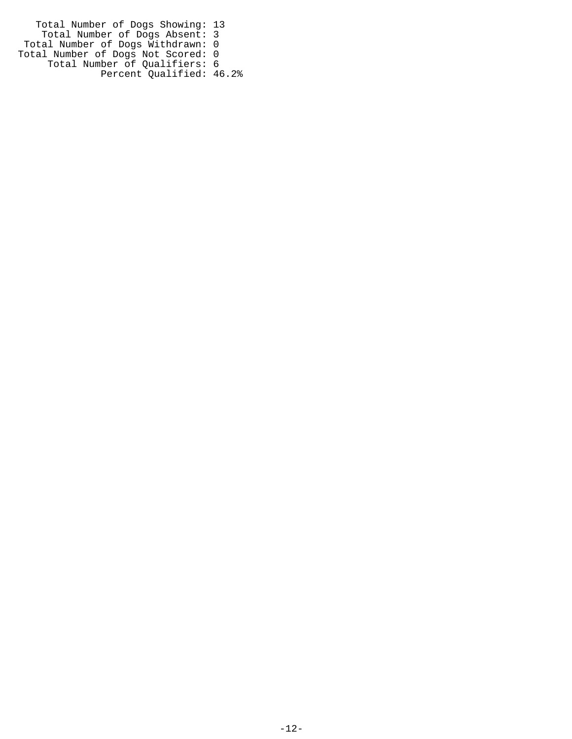Total Number of Dogs Showing: 13 Total Number of Dogs Absent: 3 Total Number of Dogs Withdrawn: 0 Total Number of Dogs Not Scored: 0 Total Number of Qualifiers: 6 Percent Qualified: 46.2%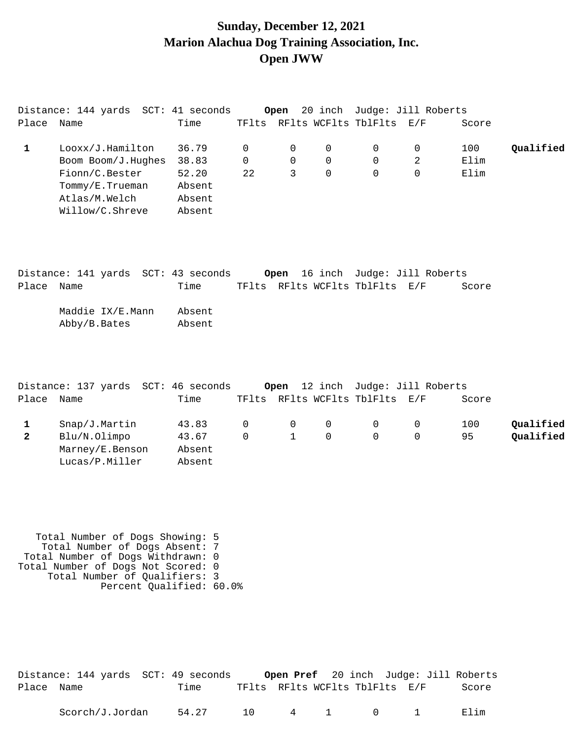### **Sunday, December 12, 2021 Marion Alachua Dog Training Association, Inc. Open JWW**

|       | Distance: 144 yards SCT: 41 seconds |        |       | Open     |          |                          | 20 inch Judge: Jill Roberts |       |           |
|-------|-------------------------------------|--------|-------|----------|----------|--------------------------|-----------------------------|-------|-----------|
| Place | Name                                | Time   | TFlts |          |          | RFlts WCFlts TblFlts E/F |                             | Score |           |
|       | Looxx/J.Hamilton                    | 36.79  |       | 0        | 0        |                          | 0                           | 100   | Oualified |
|       | Boom Boom/J.Hughes                  | 38.83  | 0     | $\Omega$ | $\Omega$ | 0                        | 2                           | Elim  |           |
|       | Fionn/C.Bester                      | 52.20  | 22    |          | 0        | 0                        |                             | Elim  |           |
|       | Tommy/E.Trueman                     | Absent |       |          |          |                          |                             |       |           |
|       | Atlas/M.Welch                       | Absent |       |          |          |                          |                             |       |           |
|       | Willow/C.Shreve                     | Absent |       |          |          |                          |                             |       |           |

|            |              |                  | Distance: 141 yards SCT: 43 seconds |  |                                | Open 16 inch Judge: Jill Roberts |       |
|------------|--------------|------------------|-------------------------------------|--|--------------------------------|----------------------------------|-------|
| Place Name |              |                  | Time                                |  | TFlts RFlts WCFlts TblFlts E/F |                                  | Score |
|            | Abby/B.Bates | Maddie IX/E.Mann | Absent<br>Absent                    |  |                                |                                  |       |

|       |                 | Distance: 137 yards SCT: 46 seconds |          |                                     |          | <b>Open</b> 12 inch Judge: Jill Roberts |       |           |
|-------|-----------------|-------------------------------------|----------|-------------------------------------|----------|-----------------------------------------|-------|-----------|
| Place | Name            | Time                                |          |                                     |          | TFlts RFlts WCFlts TblFlts E/F          | Score |           |
|       | Snap/J.Martin   | 43.83                               |          | $\begin{matrix} 0 & 0 \end{matrix}$ | 0        | $\Omega$                                | 100   | Qualified |
|       | Blu/N.Olimpo    | 43.67                               | $\Omega$ |                                     | $\Omega$ | $\cap$                                  | 95    | Oualified |
|       | Marney/E.Benson | Absent                              |          |                                     |          |                                         |       |           |
|       | Lucas/P.Miller  | Absent                              |          |                                     |          |                                         |       |           |

 Total Number of Dogs Showing: 5 Total Number of Dogs Absent: 7 Total Number of Dogs Withdrawn: 0 Total Number of Dogs Not Scored: 0 Total Number of Qualifiers: 3 Percent Qualified: 60.0%

|            | Distance: 144 yards SCT: 49 seconds |       |                                |  |  | Open Pref 20 inch Judge: Jill Roberts |
|------------|-------------------------------------|-------|--------------------------------|--|--|---------------------------------------|
| Place Name |                                     | Time  | TFlts RFlts WCFlts TblFlts E/F |  |  | Score                                 |
|            | Scorch/J.Jordan                     | 54.27 | 10 4 1 0 1                     |  |  | Elim                                  |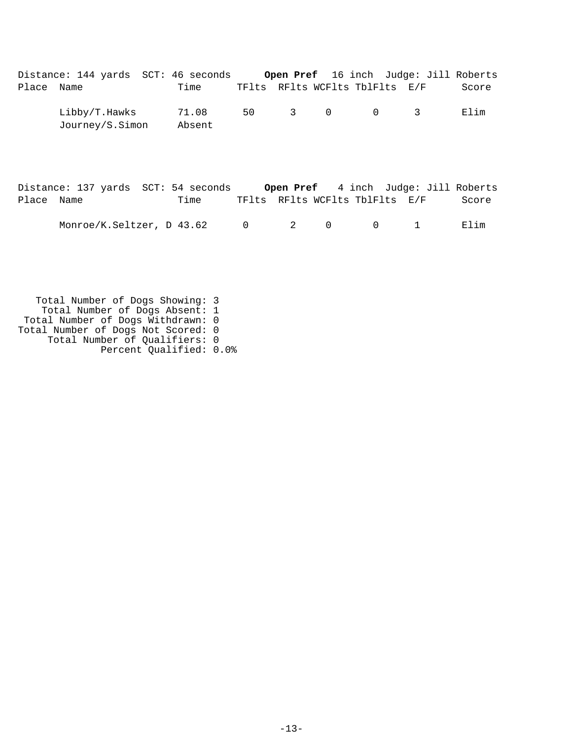|            | Distance: 144 yards SCT: 46 seconds |                 |      |  |                                | <b>Open Pref</b> 16 inch Judge: Jill Roberts |       |
|------------|-------------------------------------|-----------------|------|--|--------------------------------|----------------------------------------------|-------|
| Place Name |                                     | Time            |      |  | TFlts RFlts WCFlts TblFlts E/F |                                              | Score |
|            | Libby/T.Hawks<br>Journey/S.Simon    | 71.08<br>Absent | 50 - |  | 3 0 0 3                        |                                              | Elim  |

|            | Distance: 137 yards SCT: 54 seconds |      |                                |  |  | <b>Open Pref</b> 4 inch Judge: Jill Roberts |
|------------|-------------------------------------|------|--------------------------------|--|--|---------------------------------------------|
| Place Name |                                     | Time | TFlts RFlts WCFlts TblFlts E/F |  |  | Score                                       |
|            | Monroe/K.Seltzer, D 43.62 0 2 0 0 1 |      |                                |  |  | Elim                                        |

 Total Number of Dogs Showing: 3 Total Number of Dogs Absent: 1 Total Number of Dogs Withdrawn: 0 Total Number of Dogs Not Scored: 0 Total Number of Qualifiers: 0 Percent Qualified: 0.0%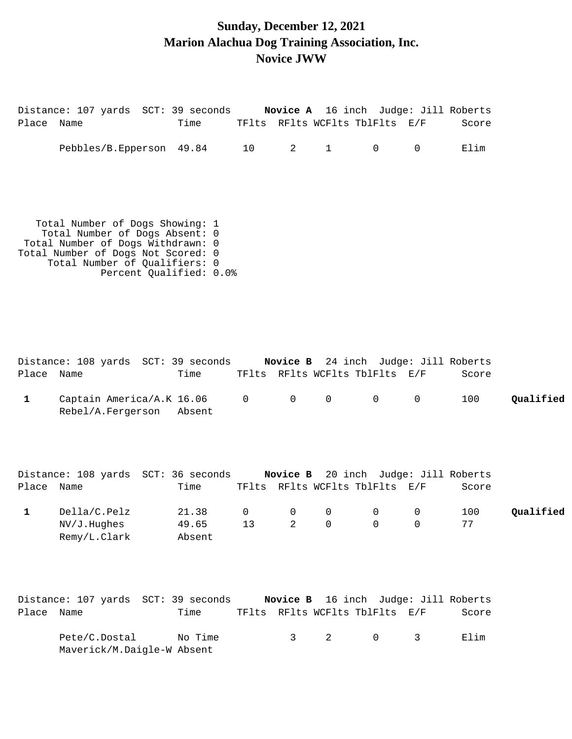# **Sunday, December 12, 2021 Marion Alachua Dog Training Association, Inc. Novice JWW**

| Place Name | Distance: 107 yards SCT: 39 seconds Novice A 16 inch Judge: Jill Roberts                                 | Time TFlts RFlts WCFlts TblFlts E/F |                |                     |          | Score |
|------------|----------------------------------------------------------------------------------------------------------|-------------------------------------|----------------|---------------------|----------|-------|
|            | Pebbles/B.Epperson 49.84 10                                                                              |                                     | $\overline{2}$ | $1 \qquad \qquad 0$ | $\Omega$ | Elim  |
|            |                                                                                                          |                                     |                |                     |          |       |
|            |                                                                                                          |                                     |                |                     |          |       |
|            | Total Number of Dogs Showing: 1<br>Total Number of Dogs Absent: 0                                        |                                     |                |                     |          |       |
|            | Total Number of Dogs Withdrawn: 0<br>Total Number of Dogs Not Scored: 0<br>Total Number of Qualifiers: 0 |                                     |                |                     |          |       |
|            |                                                                                                          | Percent Qualified: 0.0%             |                |                     |          |       |
|            |                                                                                                          |                                     |                |                     |          |       |
|            |                                                                                                          |                                     |                |                     |          |       |

| Place Name | Distance: 108 yards SCT: 39 seconds Novice B 24 inch Judge: Jill Roberts | Time |  | TFlts RFlts WCFlts TblFlts E/F                                                |  | Score |           |
|------------|--------------------------------------------------------------------------|------|--|-------------------------------------------------------------------------------|--|-------|-----------|
| 1          | Captain America/A.K 16.06 $0$ 0 0 0 0 0<br>Rebel/A.Fergerson Absent      |      |  |                                                                               |  | 100   | Oualified |
| Place Name | Distance: 108 yards SCT: 36 seconds                                      | Time |  | <b>Novice B</b> 20 inch Judge: Jill Roberts<br>TFlts RFlts WCFlts TblFlts E/F |  | Score |           |

| Della/C.Pelz | 21.38  | - 0             |  |  | 100 | Qualified |
|--------------|--------|-----------------|--|--|-----|-----------|
| NV/J.Hughes  | 49.65  | $\overline{13}$ |  |  |     |           |
| Remy/L.Clark | Absent |                 |  |  |     |           |

|            | Distance: 107 yards SCT: 39 seconds         |         |  | <b>Novice B</b> 16 inch Judge: Jill Roberts |       |
|------------|---------------------------------------------|---------|--|---------------------------------------------|-------|
| Place Name |                                             | Time    |  | TFlts RFlts WCFlts TblFlts E/F              | Score |
|            | Pete/C.Dostal<br>Maverick/M.Daigle-W Absent | No Time |  | 3 2 0 3                                     | Elim  |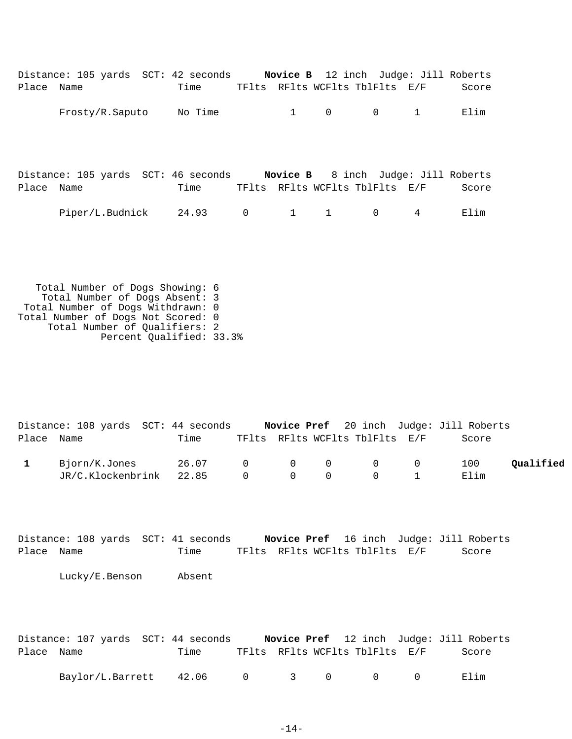|            | Distance: 105 yards SCT: 42 seconds Novice B 12 inch Judge: Jill Roberts |         |                |                |                |                                |   |       |
|------------|--------------------------------------------------------------------------|---------|----------------|----------------|----------------|--------------------------------|---|-------|
| Place Name |                                                                          | Time    |                |                |                | TFlts RFlts WCFlts TblFlts E/F |   | Score |
|            | Frosty/R.Saputo                                                          | No Time |                | $1 \quad \Box$ | $\overline{0}$ | $\mathbf 0$                    | 1 | Elim  |
| Place Name | Distance: 105 yards SCT: 46 seconds Novice B 8 inch Judge: Jill Roberts  | Time    |                |                |                | TFlts RFlts WCFlts TblFlts E/F |   | Score |
|            | Piper/L.Budnick                                                          | 24.93   | $\overline{0}$ | $1 \quad 1$    |                | $\mathbf 0$                    | 4 | Elim  |
|            |                                                                          |         |                |                |                |                                |   |       |

 Total Number of Dogs Showing: 6 Total Number of Dogs Absent: 3 Total Number of Dogs Withdrawn: 0 Total Number of Dogs Not Scored: 0 Total Number of Qualifiers: 2 Percent Qualified: 33.3%

|            | Distance: 108 yards SCT: 44 seconds |                 |  |                                | <b>Novice Pref</b> 20 inch Judge: Jill Roberts |           |
|------------|-------------------------------------|-----------------|--|--------------------------------|------------------------------------------------|-----------|
| Place Name |                                     | Time            |  | TFlts RFlts WCFlts TblFlts E/F | Score                                          |           |
|            | Bjorn/K.Jones                       | 26.07 0 0 0 0 0 |  |                                | 100                                            | Oualified |
|            | JR/C.Klockenbrink 22.85 0 0 0 0 1   |                 |  |                                | Elim                                           |           |

|            | Distance: 108 yards SCT: 41 seconds |                                |  | Novice Pref 16 inch Judge: Jill Roberts |
|------------|-------------------------------------|--------------------------------|--|-----------------------------------------|
| Place Name | Time                                | TFlts RFlts WCFlts TblFlts E/F |  | Score                                   |

Lucky/E.Benson Absent

|            | Distance: 107 yards SCT: 44 seconds |      |  |                                                 | Novice Pref 12 inch Judge: Jill Roberts |
|------------|-------------------------------------|------|--|-------------------------------------------------|-----------------------------------------|
| Place Name |                                     | Time |  | TFlts RFlts WCFlts TblFlts E/F                  | Score                                   |
|            | Baylor/L.Barrett 42.06              |      |  | $\begin{matrix} 0 & 3 & 0 & 0 & 0 \end{matrix}$ | Elim                                    |